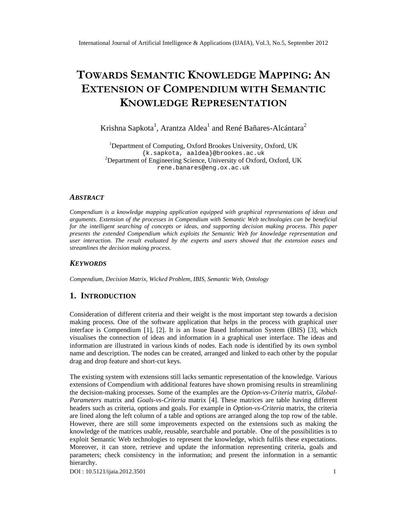# TOWARDS MANTIKÓNOWLED GMAAPPINGAN EXTENSION COOPMPENDIUM WITH THE STENSION KNOWLEDGREPRESENTATION

## Krishna Sapkota Arantza AldeaandRené Bañare**s**lcántar*á*

<sup>1</sup>Departmentof Computing Oxford Brookes University, OxfordUK { k.sapkota, aaldea}@brookes.ac.uk <sup>2</sup>Department of Engineering Science, University of Oxf**Orat**ford, UK rene.b[anares@eng.ox.ac.](mailto:banares@eng.ox)uk

#### **ABSTRACT**

Compendium is a knowledge mapping applomatequipped with graphical representations of ideas and arguments. Extension of the processes in Compendium with Semantic Web technologies can be beneficial for the intelligent searching of concepts or ideas, and supporting decision making processapenis p presents the extended Compendium which exploits the Semantic Web for knowledge representation and user interaction. The result evaluated by the experts and users showed that the extension eases and streamlines the decision making process .

#### **KEYWORDS**

Compendium, Decision Matrix, Wicked Problem, IBIS, Semantic Web, Ontology

#### 1. INTRODUCTION

Consideration of different criteria and their weight is the most important step towards a decision making process. One of the software application that helps iprotuess with graphical user interface is Compendiurm[1], [2]. It is an Issue Based Information System (IBIS), which visualises the connection ideas and information in a graphical user interface. The ideas and information are illustrated in various kinds of nodes. Each node is identified by its own symbol name and description. The nodes can be created, arranged and linked to each other put the drag and drop feature and shout keys.

The existing system with extensions still lacks semantic representation of the knowledge. Various extensions of Compendium with additional features have shown promising results in streamlining the decisin-making processes. Some of the examples are this rvs-Criteria matrix, Global-Parametersmatrix and Goals-vs-Criteria matrix [4]. These matrices are table having different headers such as criteria, options and go also example in Option-vs-Criteria matrix, the criteria are lined along the left column of a table and options are arranged along the top row of the table. However, there are still some improvements expected on the extensions such as making the knowledge of the matrices usable, reusable, searchable portable. One of the possibilities is to exploit Semantic Web technologies to represent the knowledge, which fulfils these expectations. Moreover, it can store, retrieve and update the information representing criteria, goals and parameters; check poistency in the information; and present the information in a semantic hierarchy.

DOI : 10.5121/ijaia.2012.3501 1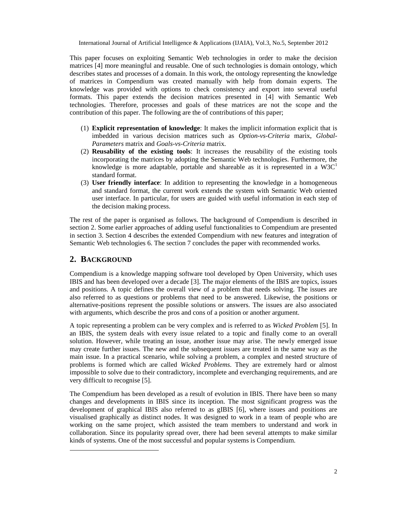This paper focuses on exploiting Semantic Web technologies in order to make the decision matrices [4] more meaningful and reusable. One of such technologies is domain ontology, which describes states and processes of a domain. In this work, the ontology representing the knowledge of matrices in Compendium was created manually with help from domain experts. The knowledge was provided with options to check consistency and export into several useful formats. This paper extends the decision matrices presented in [4] with Semantic Web technologies. Therefore, processes and goals of these matrices are not the scope and the contribution of this paper. The following are the of contributions of this paper;

- (1) **Explicit representation of knowledge**: It makes the implicit information explicit that is imbedded in various decision matrices such as *Option-vs-Criteria* marix, *Global-Parameters* matrix and *Goals-vs-Criteria* matrix.
- (2) **Reusability of the existing tools**: It increases the reusability of the existing tools incorporating the matrices by adopting the Semantic Web technologies. Furthermore, the knowledge is more adaptable, portable and shareable as it is represented in a  $W3C<sup>1</sup>$ standard format.
- (3) **User friendly interface**: In addition to representing the knowledge in a homogeneous and standard format, the current work extends the system with Semantic Web oriented user interface. In particular, for users are guided with useful information in each step of the decision making process.

The rest of the paper is organised as follows. The background of Compendium is described in section 2. Some earlier approaches of adding useful functionalities to Compendium are presented in section 3. Section 4 describes the extended Compendium with new features and integration of Semantic Web technologies 6. The section 7 concludes the paper with recommended works.

## **2. BACKGROUND**

Compendium is a knowledge mapping software tool developed by Open University, which uses IBIS and has been developed over a decade [3]. The major elements of the IBIS are topics, issues and positions. A topic defines the overall view of a problem that needs solving. The issues are also referred to as questions or problems that need to be answered. Likewise, the positions or alternative-positions represent the possible solutions or answers. The issues are also associated with arguments, which describe the pros and cons of a position or another argument.

A topic representing a problem can be very complex and is referred to as *Wicked Problem* [5]. In an IBIS, the system deals with every issue related to a topic and finally come to an overall solution. However, while treating an issue, another issue may arise. The newly emerged issue may create further issues. The new and the subsequent issues are treated in the same way as the main issue. In a practical scenario, while solving a problem, a complex and nested structure of problems is formed which are called *Wicked Problems*. They are extremely hard or almost impossible to solve due to their contradictory, incomplete and everchanging requirements, and are very difficult to recognise [5].

The Compendium has been developed as a result of evolution in IBIS. There have been so many changes and developments in IBIS since its inception. The most significant progress was the development of graphical IBIS also referred to as gIBIS [6], where issues and positions are visualised graphically as distinct nodes. It was designed to work in a team of people who are working on the same project, which assisted the team members to understand and work in collaboration. Since its popularity spread over, there had been several attempts to make similar kinds of systems. One of the most successful and popular systems is Compendium.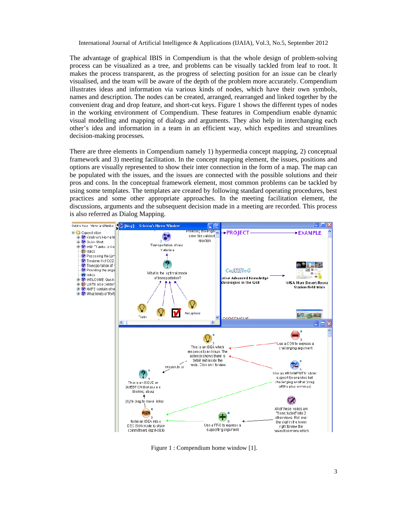The advantage of graphical IBIS in Compendium is that the whole design of problem-solving process can be visualized as a tree, and problems can be visually tackled from leaf to root. It makes the process transparent, as the progress of selecting position for an issue can be clearly visualised, and the team will be aware of the depth of the problem more accurately. Compendium illustrates ideas and information via various kinds of nodes, which have their own symbols, names and description. The nodes can be created, arranged, rearranged and linked together by the convenient drag and drop feature, and short-cut keys. Figure 1 shows the different types of nodes in the working environment of Compendium. These features in Compendium enable dynamic visual modelling and mapping of dialogs and arguments. They also help in interchanging each other's idea and information in a team in an efficient way, which expedites and streamlines decision-making processes.

There are three elements in Compendium namely 1) hypermedia concept mapping, 2) conceptual framework and 3) meeting facilitation. In the concept mapping element, the issues, positions and options are visually represented to show their inter connection in the form of a map. The map can be populated with the issues, and the issues are connected with the possible solutions and their pros and cons. In the conceptual framework element, most common problems can be tackled by using some templates. The templates are created by following standard operating procedures, best practices and some other appropriate approaches. In the meeting facilitation element, the discussions, arguments and the subsequent decision made in a meeting are recorded. This process is also referred as Dialog Mapping.



Figure 1 : Compendium home window [1].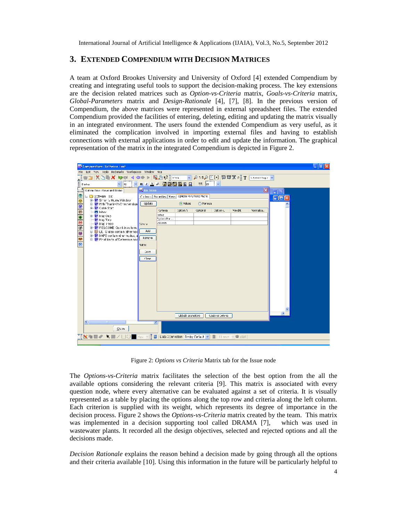## **3. EXTENDED COMPENDIUM WITH DECISION MATRICES**

A team at Oxford Brookes University and University of Oxford [4] extended Compendium by creating and integrating useful tools to support the decision-making process. The key extensions are the decision related matrices such as *Option-vs-Criteria* matrix, *Goals-vs-Criteria* matrix, *Global-Parameters* matrix and *Design-Rationale* [4], [7], [8]. In the previous version of Compendium, the above matrices were represented in external spreadsheet files. The extended Compendium provided the facilities of entering, deleting, editing and updating the matrix visually in an integrated environment. The users found the extended Compendium as very useful, as it eliminated the complication involved in importing external files and having to establish connections with external applications in order to edit and update the information. The graphical representation of the matrix in the integrated Compendium is depicted in Figure 2.



Figure 2: *Options vs Criteria* Matrix tab for the Issue node

The *Options-vs-Criteria* matrix facilitates the selection of the best option from the all the available options considering the relevant criteria [9]. This matrix is associated with every question node, where every alternative can be evaluated against a set of criteria. It is visually represented as a table by placing the options along the top row and criteria along the left column. Each criterion is supplied with its weight, which represents its degree of importance in the decision process. Figure 2 shows the *Options-vs-Criteria* matrix created by the team. This matrix was implemented in a decision supporting tool called DRAMA [7], which was used in wastewater plants. It recorded all the design objectives, selected and rejected options and all the decisions made.

*Decision Rationale* explains the reason behind a decision made by going through all the options and their criteria available [10]. Using this information in the future will be particularly helpful to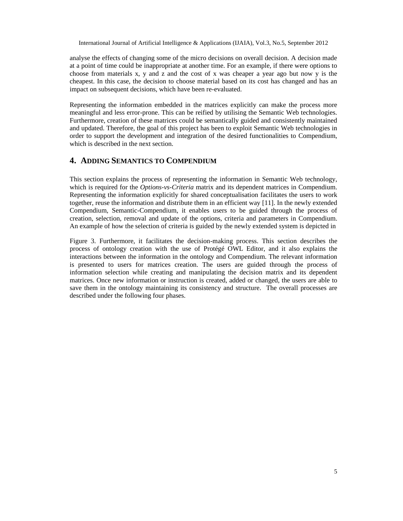analyse the effects of changing some of the micro decisions on overall decision. A decision made at a point of time could be inappropriate at another time. For an example, if there were options to choose from materials x, y and z and the cost of x was cheaper a year ago but now y is the cheapest. In this case, the decision to choose material based on its cost has changed and has an impact on subsequent decisions, which have been re-evaluated.

Representing the information embedded in the matrices explicitly can make the process more meaningful and less error-prone. This can be reified by utilising the Semantic Web technologies. Furthermore, creation of these matrices could be semantically guided and consistently maintained and updated. Therefore, the goal of this project has been to exploit Semantic Web technologies in order to support the development and integration of the desired functionalities to Compendium, which is described in the next section.

## **4. ADDING SEMANTICS TO COMPENDIUM**

This section explains the process of representing the information in Semantic Web technology, which is required for the *Options-vs-Criteria* matrix and its dependent matrices in Compendium. Representing the information explicitly for shared conceptualisation facilitates the users to work together, reuse the information and distribute them in an efficient way [11]. In the newly extended Compendium, Semantic-Compendium, it enables users to be guided through the process of creation, selection, removal and update of the options, criteria and parameters in Compendium. An example of how the selection of criteria is guided by the newly extended system is depicted in

Figure 3. Furthermore, it facilitates the decision-making process. This section describes the process of ontology creation with the use of Protégé OWL Editor, and it also explains the interactions between the information in the ontology and Compendium. The relevant information is presented to users for matrices creation. The users are guided through the process of information selection while creating and manipulating the decision matrix and its dependent matrices. Once new information or instruction is created, added or changed, the users are able to save them in the ontology maintaining its consistency and structure. The overall processes are described under the following four phases.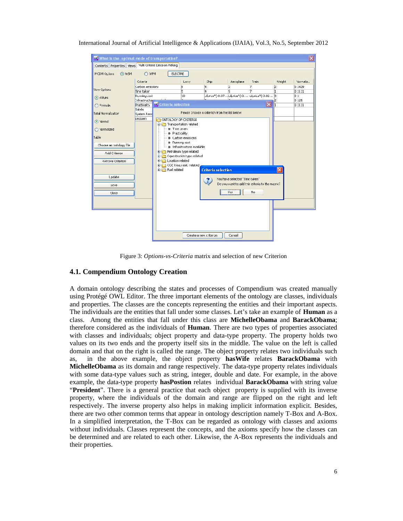

International Journal of Artificial Intelligence & Applications (IJAIA), Vol.3, No.5, September 2012

Figure 3: *Options-vs-Criteria* matrix and selection of new Criterion

#### **4.1. Compendium Ontology Creation**

A domain ontology describing the states and processes of Compendium was created manually using Protégé OWL Editor. The three important elements of the ontology are classes, individuals and properties. The classes are the concepts representing the entities and their important aspects. The individuals are the entities that fall under some classes. Let's take an example of **Human** as a class. Among the entities that fall under this class are **MichelleObama** and **BarackObama**; therefore considered as the individuals of **Human**. There are two types of properties associated with classes and individuals; object property and data-type property. The property holds two values on its two ends and the property itself sits in the middle. The value on the left is called domain and that on the right is called the range. The object property relates two individuals such as, in the above example, the object property **hasWife** relates **BarackObama** with **MichelleObama** as its domain and range respectively. The data-type property relates individuals with some data-type values such as string, integer, double and date. For example, in the above example, the data-type property **hasPostion** relates individual **BarackObama** with string value "**President**". There is a general practice that each object property is supplied with its inverse property, where the individuals of the domain and range are flipped on the right and left respectively. The inverse property also helps in making implicit information explicit. Besides, there are two other common terms that appear in ontology description namely T-Box and A-Box. In a simplified interpretation, the T-Box can be regarded as ontology with classes and axioms without individuals. Classes represent the concepts, and the axioms specify how the classes can be determined and are related to each other. Likewise, the A-Box represents the individuals and their properties.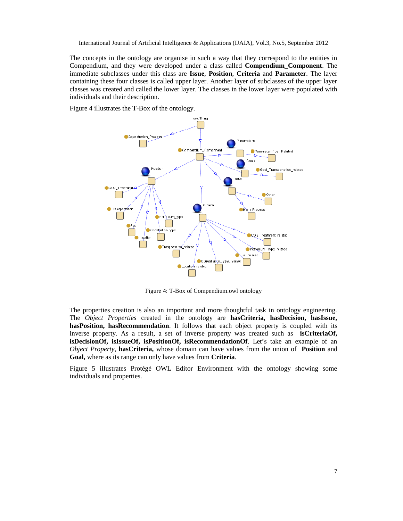The concepts in the ontology are organise in such a way that they correspond to the entities in Compendium, and they were developed under a class called **Compendium\_Component**. The immediate subclasses under this class are **Issue**, **Position**, **Criteria** and **Parameter**. The layer containing these four classes is called upper layer. Another layer of subclasses of the upper layer classes was created and called the lower layer. The classes in the lower layer were populated with individuals and their description.

Figure 4 illustrates the T-Box of the ontology.



Figure 4: T-Box of Compendium.owl ontology

The properties creation is also an important and more thoughtful task in ontology engineering. The *Object Properties* created in the ontology are **hasCriteria, hasDecision, hasIssue, hasPosition, hasRecommendation**. It follows that each object property is coupled with its inverse property. As a result, a set of inverse property was created such as **isCriteriaOf, isDecisionOf, isIssueOf, isPositionOf, isRecommendationOf**. Let's take an example of an *Object Property*, **hasCriteria,** whose domain can have values from the union of **Position** and **Goal,** where as its range can only have values from **Criteria**.

Figure 5 illustrates Protégé OWL Editor Environment with the ontology showing some individuals and properties.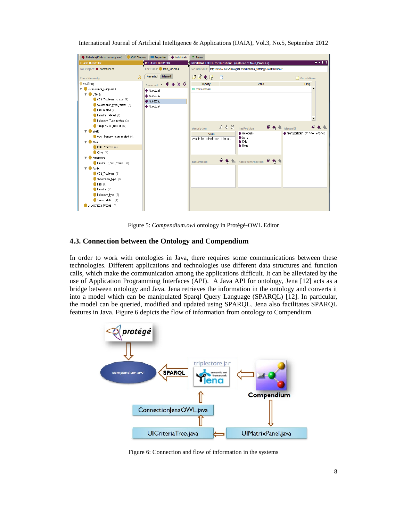

International Journal of Artificial Intelligence & Applications (IJAIA), Vol.3, No.5, September 2012

Figure 5: *Compendium.owl* ontology in Protégé-OWL Editor

#### **4.3. Connection between the Ontology and Compendium**

In order to work with ontologies in Java, there requires some communications between these technologies. Different applications and technologies use different data structures and function calls, which make the communication among the applications difficult. It can be alleviated by the use of Application Programming Interfaces (API). A Java API for ontology, Jena [12] acts as a bridge between ontology and Java. Jena retrieves the information in the ontology and converts it into a model which can be manipulated Sparql Query Language (SPARQL) [12]. In particular, the model can be queried, modified and updated using SPARQL. Jena also facilitates SPARQL features in Java. Figure 6 depicts the flow of information from ontology to Compendium.



Figure 6: Connection and flow of information in the systems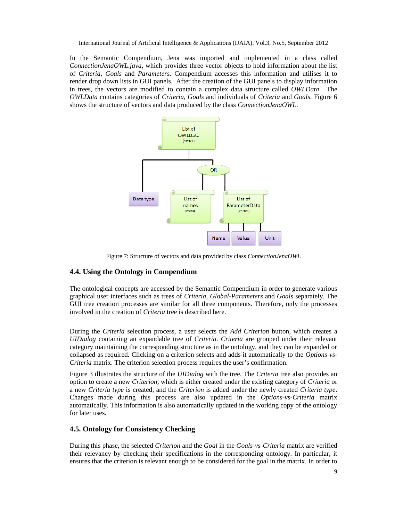In the Semantic Compendium, Jena was imported and implemented in a class called *ConnectionJenaOWL.java*, which provides three vector objects to hold information about the list of *Criteria*, *Goals* and *Parameters*. Compendium accesses this information and utilises it to render drop down lists in GUI panels. After the creation of the GUI panels to display information in trees, the vectors are modified to contain a complex data structure called *OWLData*. The *OWLData* contains categories of *Criteria, Goals* and individuals of *Criteria* and *Goals*. Figure 6 shows the structure of vectors and data produced by the class *ConnectionJenaOWL*.



Figure 7: Structure of vectors and data provided by class *ConnectionJenaOWL*

#### **4.4. Using the Ontology in Compendium**

The ontological concepts are accessed by the Semantic Compendium in order to generate various graphical user interfaces such as trees of *Criteria, Global-Parameters* and *Goals* separately. The GUI tree creation processes are similar for all three components. Therefore, only the processes involved in the creation of *Criteria* tree is described here.

During the *Criteria* selection process, a user selects the *Add Criterion* button, which creates a *UIDialog* containing an expandable tree of *Criteria*. *Criteria* are grouped under their relevant category maintaining the corresponding structure as in the ontology, and they can be expanded or collapsed as required. Clicking on a criterion selects and adds it automatically to the *Options-vs-Criteria* matrix. The criterion selection process requires the user's confirmation.

Figure 3 illustrates the structure of the *UIDialog* with the tree. The *Criteria* tree also provides an option to create a new *Criterion,* which is either created under the existing category of *Criteria* or a new *Criteria type* is created, and the *Criterion* is added under the newly created *Criteria type*. Changes made during this process are also updated in the *Options-vs-Criteria* matrix automatically. This information is also automatically updated in the working copy of the ontology for later uses.

#### **4.5. Ontology for Consistency Checking**

During this phase, the selected *Criterion* and the *Goal* in the *Goals-vs-Criteria* matrix are verified their relevancy by checking their specifications in the corresponding ontology. In particular, it ensures that the criterion is relevant enough to be considered for the goal in the matrix. In order to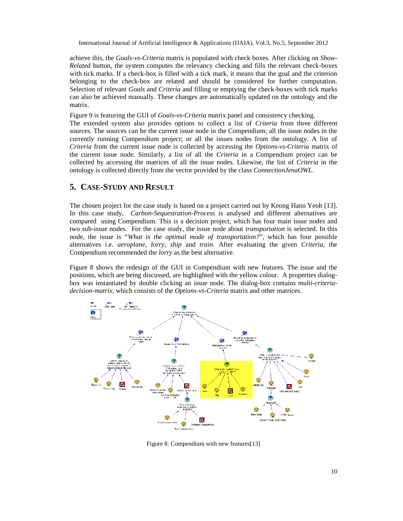achieve this, the *Goals-vs-Criteria* matrix is populated with check boxes. After clicking on *Show-Related* button, the system computes the relevancy checking and fills the relevant check-boxes with tick marks. If a check-box is filled with a tick mark, it means that the goal and the criterion belonging to the check-box are related and should be considered for further computation. Selection of relevant *Goals* and *Criteria* and filling or emptying the check-boxes with tick marks can also be achieved manually. These changes are automatically updated on the ontology and the matrix.

Figure 9 is featuring the GUI of *Goals-vs-Criteria* matrix panel and consistency checking.

The extended system also provides options to collect a list of *Criteria* from three different sources. The sources can be the current issue node in the Compendium; all the issue nodes in the currently running Compendium project; or all the issues nodes from the ontology. A list of *Criteria* from the current issue node is collected by accessing the *Options-vs-Criteria* matrix of the current issue node. Similarly, a list of all the *Criteria* in a Compendium project can be collected by accessing the matrices of all the issue nodes. Likewise, the list of *Criteria* in the ontology is collected directly from the vector provided by the class *ConnectionJenaOWL*.

#### **5. CASE-STUDY AND RESULT**

The chosen project for the case study is based on a project carried out by Keong Hann Yeoh [13]. In this case study, *Carbon-Sequestration-Process* is analysed and different alternatives are compared using Compendium. This is a decision project, which has four main issue nodes and two sub-issue nodes. For the case study, the issue node about *transportation* is selected. In this node, the issue is "*What is the optimal mode of transportation?*", which has four possible alternatives i.e. *aeroplane, lorry, ship* and *train.* After evaluating the given *Criteria*, the Compendium recommended the *lorry* as the best alternative.

Figure 8 shows the redesign of the GUI in Compendium with new features. The issue and the positions, which are being discussed, are highlighted with the yellow colour. A properties dialogbox was instantiated by double clicking an issue node. The dialog-box contains *multi-criteriadecision-matrix*, which consists of the *Options-vs-Criteria* matrix and other matrices.



Figure 8: Compendium with new features[13]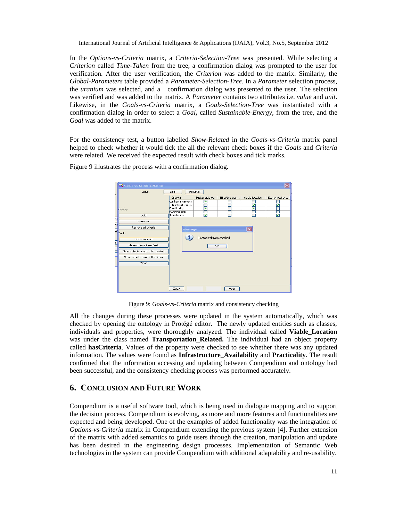In the *Options-vs-Criteria* matrix, a *Criteria-Selection-Tree* was presented. While selecting a *Criterion* called *Time-Taken* from the tree, a confirmation dialog was prompted to the user for verification. After the user verification, the *Criterion* was added to the matrix. Similarly, the *Global-Parameters* table provided a *Parameter-Selection-Tree.* In a *Parameter* selection process, the *uranium* was selected, and a confirmation dialog was presented to the user. The selection was verified and was added to the matrix. A *Parameter* contains two attributes i.e. *value* and *unit*. Likewise, in the *Goals-vs-Criteria* matrix, a *Goals-Selection-Tree* was instantiated with a confirmation dialog in order to select a *Goal***,** called *Sustainable-Energy,* from the tree, and the *Goal* was added to the matrix.

For the consistency test, a button labelled *Show-Related* in the *Goals-vs-Criteria* matrix panel helped to check whether it would tick the all the relevant check boxes if the *Goals* and *Criteria* were related. We received the expected result with check boxes and tick marks.

Figure 9 illustrates the process with a confirmation dialog.

|    | $\overline{\mathbf{x}}$<br><b>Cinals vs Criteria Matrix</b> |                                    |         |                           |                                     |                 |                  |
|----|-------------------------------------------------------------|------------------------------------|---------|---------------------------|-------------------------------------|-----------------|------------------|
|    | Good's                                                      | $\mathcal{A}$ dc                   | Hemove  |                           |                                     |                 |                  |
|    |                                                             | Criteria                           |         | Sustan able en            | Ell ective use. .   Viable location |                 | Economical trial |
|    |                                                             | Carbon emissions<br>Intrastructure |         | ⊵                         |                                     | ₹               | ☑                |
|    | <b>Criteria</b>                                             | <b>Drachinality</b>                |         | ы                         |                                     | v               |                  |
|    | Add                                                         | <b>Humning cost</b><br>Time taken  |         | ╞                         |                                     |                 | ᇦ                |
| ٦H |                                                             |                                    |         |                           |                                     |                 |                  |
| ٦d | hemove                                                      |                                    |         |                           |                                     |                 |                  |
|    | Removeral triterial                                         |                                    | Message |                           |                                     | $\vert x \vert$ |                  |
|    | <b>Table</b>                                                |                                    |         |                           |                                     |                 |                  |
|    | Show related.                                               |                                    |         | Related cells are checked |                                     |                 |                  |
|    | Show onter a from OWL                                       |                                    |         |                           | UК.                                 |                 |                  |
|    | Show criteria used in this project.                         |                                    |         |                           |                                     |                 |                  |
|    | Show or terial used in this issue.                          |                                    |         |                           |                                     |                 |                  |
|    | stun                                                        |                                    |         |                           |                                     |                 |                  |
|    |                                                             |                                    |         |                           |                                     |                 |                  |
|    |                                                             |                                    |         |                           |                                     |                 |                  |
|    |                                                             |                                    |         |                           |                                     |                 |                  |
|    |                                                             |                                    |         |                           |                                     |                 |                  |
|    |                                                             | Cusa                               |         |                           | $+$                                 |                 |                  |

Figure 9: *Goals-vs-Criteria* matrix and consistency checking

All the changes during these processes were updated in the system automatically, which was checked by opening the ontology in Protégé editor. The newly updated entities such as classes, individuals and properties, were thoroughly analyzed. The individual called **Viable\_Location** was under the class named **Transportation\_Related.** The individual had an object property called **hasCriteria**. Values of the property were checked to see whether there was any updated information. The values were found as **Infrastructure\_Availability** and **Practicality***.* The result confirmed that the information accessing and updating between Compendium and ontology had been successful, and the consistency checking process was performed accurately.

## **6. CONCLUSION AND FUTURE WORK**

Compendium is a useful software tool, which is being used in dialogue mapping and to support the decision process. Compendium is evolving, as more and more features and functionalities are expected and being developed. One of the examples of added functionality was the integration of *Options-vs-Criteria* matrix in Compendium extending the previous system [4]. Further extension of the matrix with added semantics to guide users through the creation, manipulation and update has been desired in the engineering design processes. Implementation of Semantic Web technologies in the system can provide Compendium with additional adaptability and re-usability.